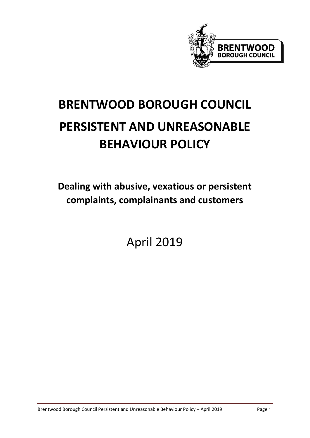

# **BRENTWOOD BOROUGH COUNCIL PERSISTENT AND UNREASONABLE BEHAVIOUR POLICY**

**Dealing with abusive, vexatious or persistent complaints, complainants and customers**

April 2019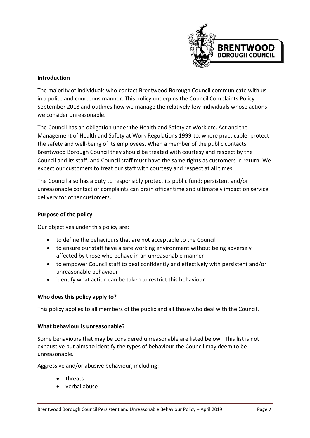

### **Introduction**

The majority of individuals who contact Brentwood Borough Council communicate with us in a polite and courteous manner. This policy underpins the Council Complaints Policy September 2018 and outlines how we manage the relatively few individuals whose actions we consider unreasonable.

The Council has an obligation under the Health and Safety at Work etc. Act and the Management of Health and Safety at Work Regulations 1999 to, where practicable, protect the safety and well-being of its employees. When a member of the public contacts Brentwood Borough Council they should be treated with courtesy and respect by the Council and its staff, and Council staff must have the same rights as customers in return. We expect our customers to treat our staff with courtesy and respect at all times.

The Council also has a duty to responsibly protect its public fund; persistent and/or unreasonable contact or complaints can drain officer time and ultimately impact on service delivery for other customers.

## **Purpose of the policy**

Our objectives under this policy are:

- to define the behaviours that are not acceptable to the Council
- to ensure our staff have a safe working environment without being adversely affected by those who behave in an unreasonable manner
- to empower Council staff to deal confidently and effectively with persistent and/or unreasonable behaviour
- identify what action can be taken to restrict this behaviour

#### **Who does this policy apply to?**

This policy applies to all members of the public and all those who deal with the Council.

#### **What behaviour is unreasonable?**

Some behaviours that may be considered unreasonable are listed below. This list is not exhaustive but aims to identify the types of behaviour the Council may deem to be unreasonable.

Aggressive and/or abusive behaviour, including:

- threats
- verbal abuse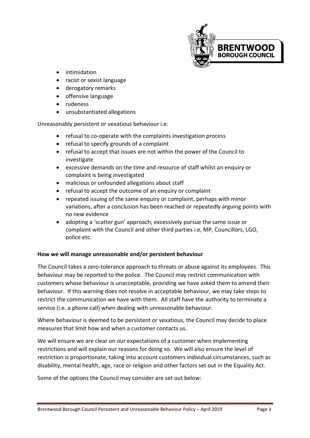

- intimidation
- racist or sexist language
- derogatory remarks
- offensive language
- rudeness
- unsubstantiated allegations

Unreasonably persistent or vexatious behaviour i.e:

- refusal to co-operate with the complaints investigation process
- refusal to specify grounds of a complaint
- refusal to accept that issues are not within the power of the Council to investigate
- excessive demands on the time and resource of staff whilst an enquiry or complaint is being investigated
- malicious or unfounded allegations about staff
- refusal to accept the outcome of an enquiry or complaint
- repeated issuing of the same enquiry or complaint, perhaps with minor variations, after a conclusion has been reached or repeatedly arguing points with no new evidence
- adopting a 'scatter gun' approach; excessively pursue the same issue or complaint with the Council and other third parties i.e, MP, Councillors, LGO, police etc.

# **How we will manage unreasonable and/or persistent behaviour**

The Council takes a zero-tolerance approach to threats or abuse against its employees. This behaviour may be reported to the police. The Council may restrict communication with customers whose behaviour is unacceptable, providing we have asked them to amend their behaviour. If this warning does not resolve in acceptable behaviour, we may take steps to restrict the communication we have with them. All staff have the authority to terminate a service (i.e. a phone call) when dealing with unreasonable behaviour.

Where behaviour is deemed to be persistent or vexatious, the Council may decide to place measures that limit how and when a customer contacts us.

We will ensure we are clear on our expectations of a customer when implementing restrictions and will explain our reasons for doing so. We will also ensure the level of restriction is proportionate, taking into account customers individual circumstances, such as disability, mental health, age, race or religion and other factors set out in the Equality Act.

Some of the options the Council may consider are set out below: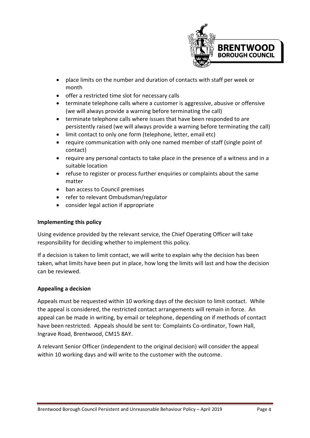

- place limits on the number and duration of contacts with staff per week or month
- offer a restricted time slot for necessary calls
- terminate telephone calls where a customer is aggressive, abusive or offensive (we will always provide a warning before terminating the call)
- terminate telephone calls where issues that have been responded to are persistently raised (we will always provide a warning before terminating the call)
- limit contact to only one form (telephone, letter, email etc)
- require communication with only one named member of staff (single point of contact)
- require any personal contacts to take place in the presence of a witness and in a suitable location
- refuse to register or process further enquiries or complaints about the same matter
- ban access to Council premises
- refer to relevant Ombudsman/regulator
- consider legal action if appropriate

# **Implementing this policy**

Using evidence provided by the relevant service, the Chief Operating Officer will take responsibility for deciding whether to implement this policy.

If a decision is taken to limit contact, we will write to explain why the decision has been taken, what limits have been put in place, how long the limits will last and how the decision can be reviewed.

# **Appealing a decision**

Appeals must be requested within 10 working days of the decision to limit contact. While the appeal is considered, the restricted contact arrangements will remain in force. An appeal can be made in writing, by email or telephone, depending on if methods of contact have been restricted. Appeals should be sent to: Complaints Co-ordinator, Town Hall, Ingrave Road, Brentwood, CM15 8AY.

A relevant Senior Officer (independent to the original decision) will consider the appeal within 10 working days and will write to the customer with the outcome.